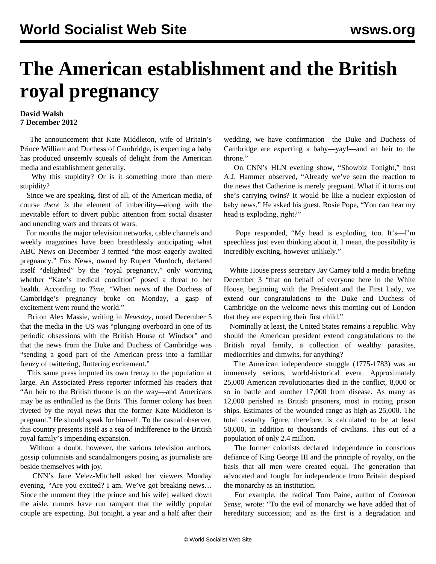## **The American establishment and the British royal pregnancy**

## **David Walsh 7 December 2012**

 The announcement that Kate Middleton, wife of Britain's Prince William and Duchess of Cambridge, is expecting a baby has produced unseemly squeals of delight from the American media and establishment generally.

 Why this stupidity? Or is it something more than mere stupidity?

 Since we are speaking, first of all, of the American media, of course *there is* the element of imbecility—along with the inevitable effort to divert public attention from social disaster and unending wars and threats of wars.

 For months the major television networks, cable channels and weekly magazines have been breathlessly anticipating what ABC News on December 3 termed "the most eagerly awaited pregnancy." Fox News, owned by Rupert Murdoch, declared itself "delighted" by the "royal pregnancy," only worrying whether "Kate's medical condition" posed a threat to her health. According to *Time*, "When news of the Duchess of Cambridge's pregnancy broke on Monday, a gasp of excitement went round the world."

 Briton Alex Massie, writing in *Newsday*, noted December 5 that the media in the US was "plunging overboard in one of its periodic obsessions with the British House of Windsor" and that the news from the Duke and Duchess of Cambridge was "sending a good part of the American press into a familiar frenzy of twittering, fluttering excitement."

 This same press imputed its own frenzy to the population at large. An Associated Press reporter informed his readers that "An heir to the British throne is on the way—and Americans may be as enthralled as the Brits. This former colony has been riveted by the royal news that the former Kate Middleton is pregnant." He should speak for himself. To the casual observer, this country presents itself as a sea of indifference to the British royal family's impending expansion.

 Without a doubt, however, the various television anchors, gossip columnists and scandalmongers posing as journalists are beside themselves with joy.

 CNN's Jane Velez-Mitchell asked her viewers Monday evening, "Are you excited? I am. We've got breaking news… Since the moment they [the prince and his wife] walked down the aisle, rumors have run rampant that the wildly popular couple are expecting. But tonight, a year and a half after their wedding, we have confirmation—the Duke and Duchess of Cambridge are expecting a baby—yay!—and an heir to the throne."

 On CNN's HLN evening show, "Showbiz Tonight," host A.J. Hammer observed, "Already we've seen the reaction to the news that Catherine is merely pregnant. What if it turns out she's carrying twins? It would be like a nuclear explosion of baby news." He asked his guest, Rosie Pope, "You can hear my head is exploding, right?"

 Pope responded, "My head is exploding, too. It's—I'm speechless just even thinking about it. I mean, the possibility is incredibly exciting, however unlikely."

 White House press secretary Jay Carney told a media briefing December 3 "that on behalf of everyone here in the White House, beginning with the President and the First Lady, we extend our congratulations to the Duke and Duchess of Cambridge on the welcome news this morning out of London that they are expecting their first child."

 Nominally at least, the United States remains a republic. Why should the American president extend congratulations to the British royal family, a collection of wealthy parasites, mediocrities and dimwits, for anything?

 The American independence struggle (1775-1783) was an immensely serious, world-historical event. Approximately 25,000 American revolutionaries died in the conflict, 8,000 or so in battle and another 17,000 from disease. As many as 12,000 perished as British prisoners, most in rotting prison ships. Estimates of the wounded range as high as 25,000. The total casualty figure, therefore, is calculated to be at least 50,000, in addition to thousands of civilians. This out of a population of only 2.4 million.

 The former colonists declared independence in conscious defiance of King George III and the principle of royalty, on the basis that all men were created equal. The generation that advocated and fought for independence from Britain despised the monarchy as an institution.

 For example, the radical Tom Paine, author of *Common Sense*, wrote: "To the evil of monarchy we have added that of hereditary succession; and as the first is a degradation and